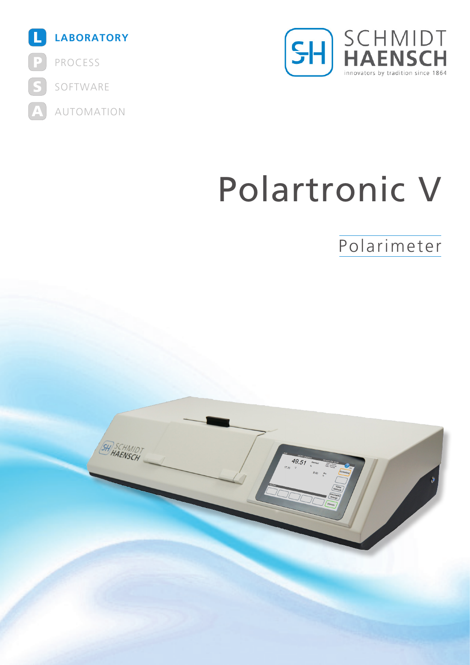



# Polartronic V

Polarimeter